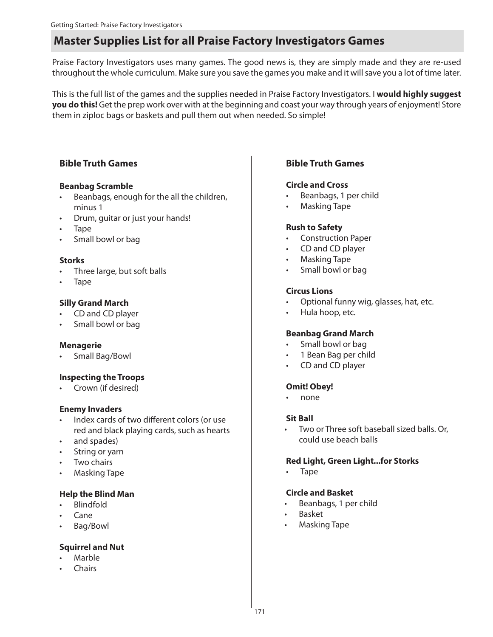Praise Factory Investigators uses many games. The good news is, they are simply made and they are re-used throughout the whole curriculum. Make sure you save the games you make and it will save you a lot of time later.

This is the full list of the games and the supplies needed in Praise Factory Investigators. I **would highly suggest you do this!** Get the prep work over with at the beginning and coast your way through years of enjoyment! Store them in ziploc bags or baskets and pull them out when needed. So simple!

### **Bible Truth Games**

#### **Beanbag Scramble**

- Beanbags, enough for the all the children, minus 1
- Drum, guitar or just your hands!
- Tape
- Small bowl or bag

#### **Storks**

- Three large, but soft balls
- Tape

#### **Silly Grand March**

- CD and CD player
- Small bowl or bag

#### **Menagerie**

• Small Bag/Bowl

#### **Inspecting the Troops**

• Crown (if desired)

#### **Enemy Invaders**

- Index cards of two different colors (or use red and black playing cards, such as hearts
- and spades)
- String or yarn
- Two chairs
- Masking Tape

#### **Help the Blind Man**

- Blindfold
- Cane
- Bag/Bowl

#### **Squirrel and Nut**

- **Marble**
- Chairs

## **Bible Truth Games**

#### **Circle and Cross**

- Beanbags, 1 per child
- Masking Tape

#### **Rush to Safety**

- Construction Paper
- CD and CD player
- Masking Tape
- Small bowl or bag

#### **Circus Lions**

- Optional funny wig, glasses, hat, etc.
- Hula hoop, etc.

#### **Beanbag Grand March**

- Small bowl or bag
- 1 Bean Bag per child
- CD and CD player

#### **Omit! Obey!**

• none

#### **Sit Ball**

Two or Three soft baseball sized balls. Or, could use beach balls

#### **Red Light, Green Light...for Storks**

• Tape

#### **Circle and Basket**

- Beanbags, 1 per child
- Basket
- Masking Tape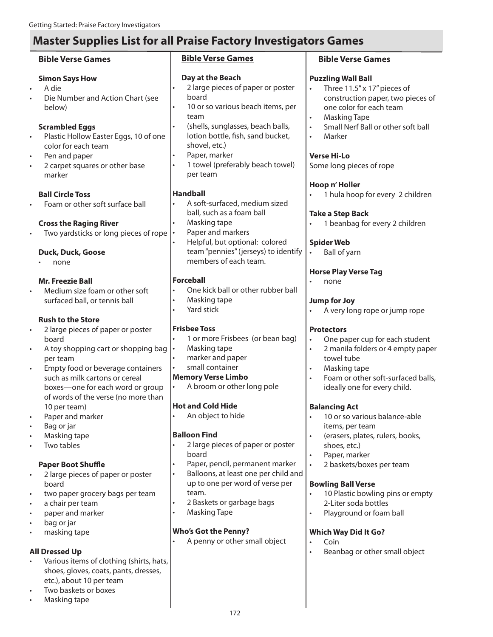#### **Bible Verse Games Simon Says How** • A die • Die Number and Action Chart (see below) **Scrambled Eggs** • Plastic Hollow Easter Eggs, 10 of one color for each team Pen and paper 2 carpet squares or other base marker **Ball Circle Toss** • Foam or other soft surface ball **Cross the Raging River** • Two yardsticks or long pieces of rope  $\lvert \cdot \rvert$ **Duck, Duck, Goose** • none **Mr. Freezie Ball** • Medium size foam or other soft surfaced ball, or tennis ball **Rush to the Store** • 2 large pieces of paper or poster board • A toy shopping cart or shopping bag per team • Empty food or beverage containers such as milk cartons or cereal boxes—one for each word or group of words of the verse (no more than 10 per team) Paper and marker • Bag or jar • Masking tape • Two tables **Paper Boot Shuffle** • 2 large pieces of paper or poster board two paper grocery bags per team a chair per team • paper and marker bag or jar • masking tape **Bible Verse Games Day at the Beach** 2 large pieces of paper or poster board 10 or so various beach items, per team • (shells, sunglasses, beach balls, lotion bottle, fish, sand bucket, shovel, etc.) Paper, marker 1 towel (preferably beach towel) per team **Handball** • A soft-surfaced, medium sized ball, such as a foam ball • Masking tape Paper and markers • Helpful, but optional: colored team "pennies" (jerseys) to identify members of each team. **Forceball** • One kick ball or other rubber ball • Masking tape Yard stick **Frisbee Toss** • 1 or more Frisbees (or bean bag) • Masking tape • marker and paper small container **Memory Verse Limbo** • A broom or other long pole **Hot and Cold Hide** • An object to hide **Balloon Find** 2 large pieces of paper or poster board Paper, pencil, permanent marker • Balloons, at least one per child and up to one per word of verse per team. • 2 Baskets or garbage bags • Masking Tape **Who's Got the Penny? Bible Verse Games Puzzling Wall Ball** Three 11.5" x 17" pieces of one color for each team • Masking Tape • Marker **Verse Hi-Lo** Some long pieces of rope **Hoop n' Holler Take a Step Back Spider Web** • Ball of yarn **Horse Play Verse Tag** • none **Jump for Joy Protectors** towel tube • Masking tape ideally one for every child. **Balancing Act** 10 or so various balance-able items, per team • (erasers, plates, rulers, books, shoes, etc.) Paper, marker • 2 baskets/boxes per team **Bowling Ball Verse** 2-Liter soda bottles Playground or foam ball **Which Way Did It Go?**

#### **All Dressed Up**

- Various items of clothing (shirts, hats, shoes, gloves, coats, pants, dresses, etc.), about 10 per team
- Two baskets or boxes
- Masking tape

• A penny or other small object

- construction paper, two pieces of
- Small Nerf Ball or other soft ball
- 1 hula hoop for every 2 children
- 1 beanbag for every 2 children

- A very long rope or jump rope
- One paper cup for each student
- 2 manila folders or 4 empty paper
- Foam or other soft-surfaced balls,

- 10 Plastic bowling pins or empty
	- Coin
- Beanbag or other small object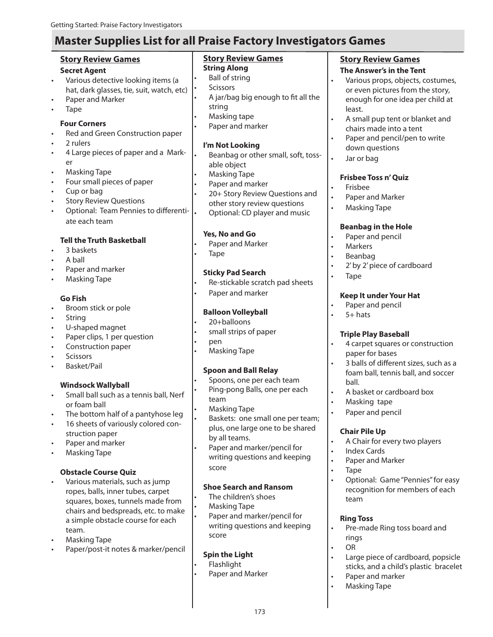### **Story Review Games**

#### **Secret Agent**

- Various detective looking items (a hat, dark glasses, tie, suit, watch, etc)
- Paper and Marker
- Tape

#### **Four Corners**

- Red and Green Construction paper
- 2 rulers
- 4 Large pieces of paper and a Marker
- Masking Tape
- Four small pieces of paper
- Cup or bag
- **Story Review Questions**
- Optional: Team Pennies to differentiate each team

#### **Tell the Truth Basketball**

- 3 baskets
- A ball
- Paper and marker
- Masking Tape

#### **Go Fish**

- Broom stick or pole
- **String**
- U-shaped magnet
- Paper clips, 1 per question
- Construction paper
- **Scissors**
- Basket/Pail

#### **Windsock Wallyball**

- Small ball such as a tennis ball, Nerf or foam ball
- The bottom half of a pantyhose leg
- 16 sheets of variously colored construction paper
- Paper and marker
- Masking Tape

#### **Obstacle Course Quiz**

- Various materials, such as jump ropes, balls, inner tubes, carpet squares, boxes, tunnels made from chairs and bedspreads, etc. to make a simple obstacle course for each team.
- Masking Tape
- Paper/post-it notes & marker/pencil

#### **Story Review Games String Along**

- Ball of string
- **Scissors**
- A jar/bag big enough to fit all the string
- Masking tape
- Paper and marker

#### **I'm Not Looking**

- Beanbag or other small, soft, tossable object
- Masking Tape
- Paper and marker
- 20+ Story Review Questions and other story review questions • Optional: CD player and music

### **Yes, No and Go**

- Paper and Marker
- Tape

#### **Sticky Pad Search**

- Re-stickable scratch pad sheets
- Paper and marker

#### **Balloon Volleyball**

- 20+balloons
- small strips of paper
- pen
- Masking Tape

#### **Spoon and Ball Relay**

- Spoons, one per each team Ping-pong Balls, one per each
- team • Masking Tape
- Baskets: one small one per team; plus, one large one to be shared by all teams.
- Paper and marker/pencil for writing questions and keeping score

#### **Shoe Search and Ransom**

- The children's shoes
- Masking Tape
	- Paper and marker/pencil for writing questions and keeping score

173

#### **Spin the Light**

- Flashlight
- Paper and Marker

### **Story Review Games**

#### **The Answer's in the Tent**

- Various props, objects, costumes, or even pictures from the story, enough for one idea per child at least.
- A small pup tent or blanket and chairs made into a tent
- Paper and pencil/pen to write down questions
- Jar or bag

#### **Frisbee Toss n' Quiz**

- Frisbee
- Paper and Marker
- Masking Tape

#### **Beanbag in the Hole**

- Paper and pencil
- Markers
- Beanbag
- 2' by 2' piece of cardboard
- Tape

#### **Keep It under Your Hat**

- Paper and pencil
- $5+$  hats

#### **Triple Play Baseball**

- 4 carpet squares or construction paper for bases
- 3 balls of different sizes, such as a foam ball, tennis ball, and soccer ball.
- A basket or cardboard box
- Masking tape
- Paper and pencil

Index Cards Paper and Marker

#### **Chair Pile Up**

• Tape

team

**Ring Toss**

rings • OR

• A Chair for every two players

• Optional: Game "Pennies" for easy recognition for members of each

• Pre-made Ring toss board and

• Large piece of cardboard, popsicle sticks, and a child's plastic bracelet

> Paper and marker • Masking Tape